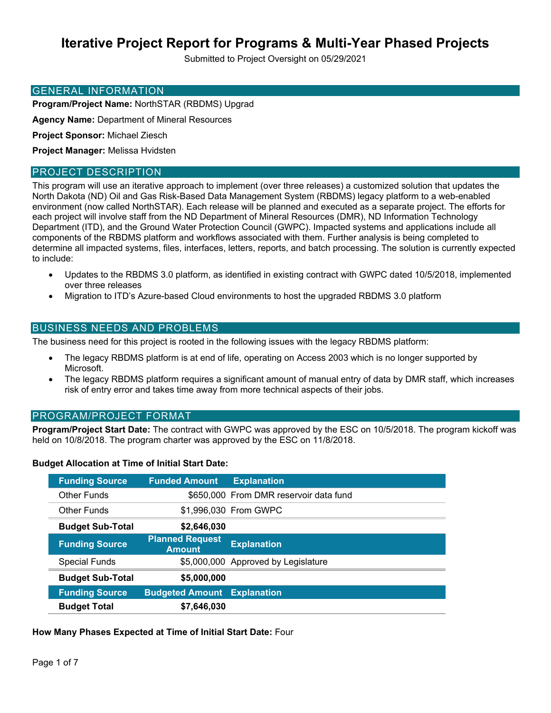# **Iterative Project Report for Programs & Multi-Year Phased Projects**

Submitted to Project Oversight on 05/29/2021

### GENERAL INFORMATION

**Program/Project Name:** NorthSTAR (RBDMS) Upgrad

**Agency Name:** Department of Mineral Resources

**Project Sponsor:** Michael Ziesch

**Project Manager:** Melissa Hvidsten

### PROJECT DESCRIPTION

This program will use an iterative approach to implement (over three releases) a customized solution that updates the North Dakota (ND) Oil and Gas Risk-Based Data Management System (RBDMS) legacy platform to a web-enabled environment (now called NorthSTAR). Each release will be planned and executed as a separate project. The efforts for each project will involve staff from the ND Department of Mineral Resources (DMR), ND Information Technology Department (ITD), and the Ground Water Protection Council (GWPC). Impacted systems and applications include all components of the RBDMS platform and workflows associated with them. Further analysis is being completed to determine all impacted systems, files, interfaces, letters, reports, and batch processing. The solution is currently expected to include:

- Updates to the RBDMS 3.0 platform, as identified in existing contract with GWPC dated 10/5/2018, implemented over three releases
- Migration to ITD's Azure-based Cloud environments to host the upgraded RBDMS 3.0 platform

### BUSINESS NEEDS AND PROBLEMS

The business need for this project is rooted in the following issues with the legacy RBDMS platform:

- The legacy RBDMS platform is at end of life, operating on Access 2003 which is no longer supported by Microsoft.
- The legacy RBDMS platform requires a significant amount of manual entry of data by DMR staff, which increases risk of entry error and takes time away from more technical aspects of their jobs.

### PROGRAM/PROJECT FORMAT

**Program/Project Start Date:** The contract with GWPC was approved by the ESC on 10/5/2018. The program kickoff was held on 10/8/2018. The program charter was approved by the ESC on 11/8/2018.

### **Budget Allocation at Time of Initial Start Date:**

| <b>Funding Source</b>   | <b>Funded Amount</b>                    | <b>Explanation</b>                     |
|-------------------------|-----------------------------------------|----------------------------------------|
| Other Funds             |                                         | \$650,000 From DMR reservoir data fund |
| Other Funds             |                                         | \$1,996,030 From GWPC                  |
| <b>Budget Sub-Total</b> | \$2,646,030                             |                                        |
| <b>Funding Source</b>   | <b>Planned Request</b><br><b>Amount</b> | <b>Explanation</b>                     |
| <b>Special Funds</b>    |                                         | \$5,000,000 Approved by Legislature    |
| <b>Budget Sub-Total</b> | \$5,000,000                             |                                        |
| <b>Funding Source</b>   | <b>Budgeted Amount</b>                  | <b>Explanation</b>                     |
| <b>Budget Total</b>     | \$7,646,030                             |                                        |

### **How Many Phases Expected at Time of Initial Start Date:** Four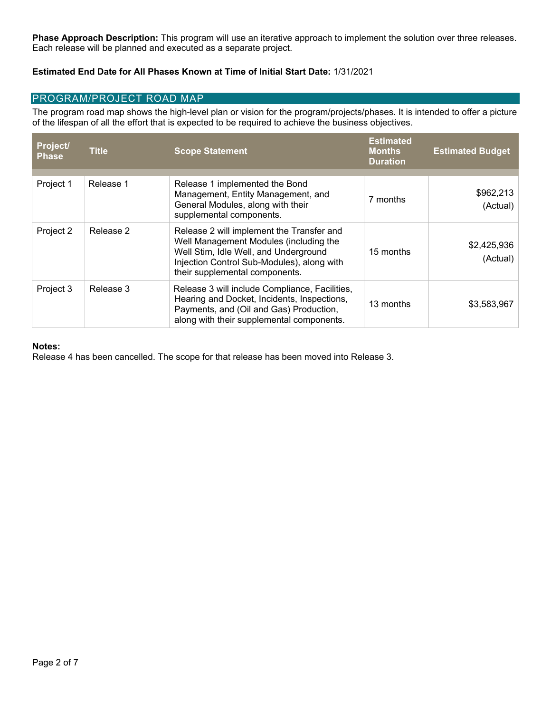**Phase Approach Description:** This program will use an iterative approach to implement the solution over three releases. Each release will be planned and executed as a separate project.

### **Estimated End Date for All Phases Known at Time of Initial Start Date:** 1/31/2021

### PROGRAM/PROJECT ROAD MAP

The program road map shows the high-level plan or vision for the program/projects/phases. It is intended to offer a picture of the lifespan of all the effort that is expected to be required to achieve the business objectives.

| Project/<br><b>Phase</b> | <b>Title</b> | <b>Scope Statement</b>                                                                                                                                                                                       | <b>Estimated</b><br><b>Months</b><br><b>Duration</b> | <b>Estimated Budget</b> |
|--------------------------|--------------|--------------------------------------------------------------------------------------------------------------------------------------------------------------------------------------------------------------|------------------------------------------------------|-------------------------|
| Project 1                | Release 1    | Release 1 implemented the Bond<br>Management, Entity Management, and<br>General Modules, along with their<br>supplemental components.                                                                        | 7 months                                             | \$962,213<br>(Actual)   |
| Project 2                | Release 2    | Release 2 will implement the Transfer and<br>Well Management Modules (including the<br>Well Stim, Idle Well, and Underground<br>Injection Control Sub-Modules), along with<br>their supplemental components. | 15 months                                            | \$2,425,936<br>(Actual) |
| Project 3                | Release 3    | Release 3 will include Compliance, Facilities,<br>Hearing and Docket, Incidents, Inspections,<br>Payments, and (Oil and Gas) Production,<br>along with their supplemental components.                        | 13 months                                            | \$3,583,967             |

### **Notes:**

Release 4 has been cancelled. The scope for that release has been moved into Release 3.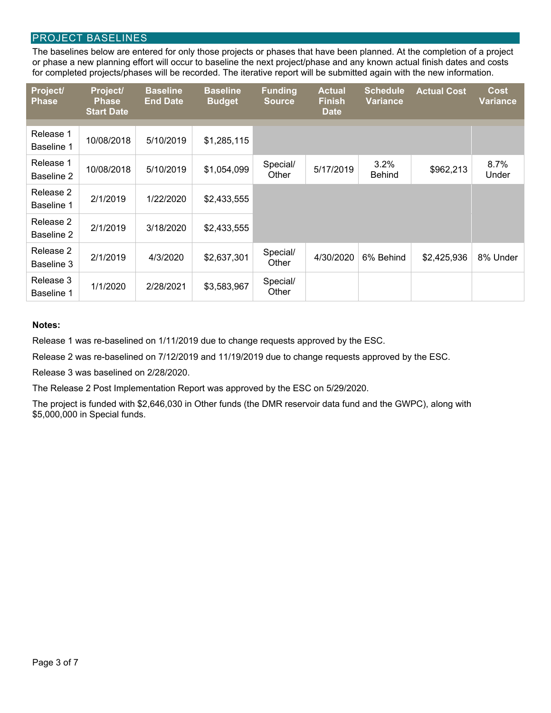### PROJECT BASELINES

The baselines below are entered for only those projects or phases that have been planned. At the completion of a project or phase a new planning effort will occur to baseline the next project/phase and any known actual finish dates and costs for completed projects/phases will be recorded. The iterative report will be submitted again with the new information.

| Project/<br><b>Phase</b> | Project/<br><b>Phase</b><br><b>Start Date</b> | <b>Baseline</b><br><b>End Date</b> | <b>Baseline</b><br><b>Budget</b> | <b>Funding</b><br><b>Source</b> | <b>Actual</b><br><b>Finish</b><br><b>Date</b> | <b>Schedule</b><br><b>Variance</b> | <b>Actual Cost</b> | <b>Cost</b><br><b>Variance</b> |
|--------------------------|-----------------------------------------------|------------------------------------|----------------------------------|---------------------------------|-----------------------------------------------|------------------------------------|--------------------|--------------------------------|
| Release 1<br>Baseline 1  | 10/08/2018                                    | 5/10/2019                          | \$1,285,115                      |                                 |                                               |                                    |                    |                                |
| Release 1<br>Baseline 2  | 10/08/2018                                    | 5/10/2019                          | \$1,054,099                      | Special/<br>Other               | 5/17/2019                                     | 3.2%<br><b>Behind</b>              | \$962,213          | 8.7%<br>Under                  |
| Release 2<br>Baseline 1  | 2/1/2019                                      | 1/22/2020                          | \$2,433,555                      |                                 |                                               |                                    |                    |                                |
| Release 2<br>Baseline 2  | 2/1/2019                                      | 3/18/2020                          | \$2,433,555                      |                                 |                                               |                                    |                    |                                |
| Release 2<br>Baseline 3  | 2/1/2019                                      | 4/3/2020                           | \$2,637,301                      | Special/<br>Other               | 4/30/2020                                     | 6% Behind                          | \$2,425,936        | 8% Under                       |
| Release 3<br>Baseline 1  | 1/1/2020                                      | 2/28/2021                          | \$3,583,967                      | Special/<br>Other               |                                               |                                    |                    |                                |

#### **Notes:**

Release 1 was re-baselined on 1/11/2019 due to change requests approved by the ESC.

Release 2 was re-baselined on 7/12/2019 and 11/19/2019 due to change requests approved by the ESC.

Release 3 was baselined on 2/28/2020.

The Release 2 Post Implementation Report was approved by the ESC on 5/29/2020.

The project is funded with \$2,646,030 in Other funds (the DMR reservoir data fund and the GWPC), along with \$5,000,000 in Special funds.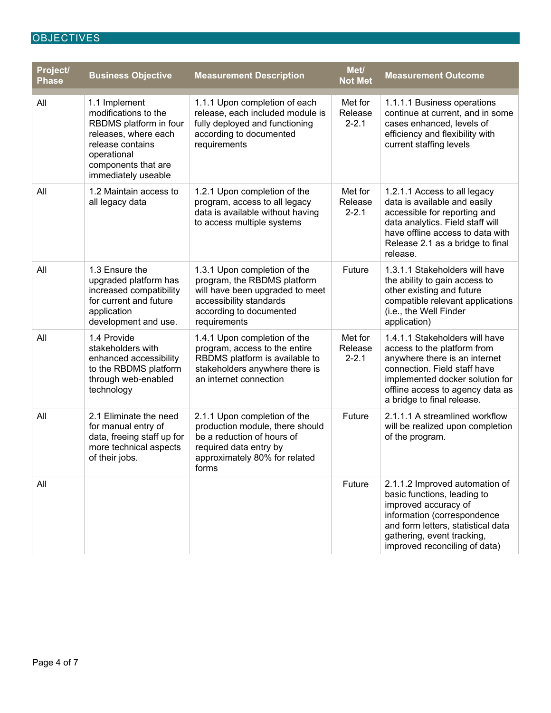## **OBJECTIVES**

| Project/<br><b>Phase</b> | <b>Business Objective</b>                                                                                                                                                | <b>Measurement Description</b>                                                                                                                                       | Met/<br><b>Not Met</b>          | <b>Measurement Outcome</b>                                                                                                                                                                                                          |
|--------------------------|--------------------------------------------------------------------------------------------------------------------------------------------------------------------------|----------------------------------------------------------------------------------------------------------------------------------------------------------------------|---------------------------------|-------------------------------------------------------------------------------------------------------------------------------------------------------------------------------------------------------------------------------------|
| All                      | 1.1 Implement<br>modifications to the<br>RBDMS platform in four<br>releases, where each<br>release contains<br>operational<br>components that are<br>immediately useable | 1.1.1 Upon completion of each<br>release, each included module is<br>fully deployed and functioning<br>according to documented<br>requirements                       | Met for<br>Release<br>$2 - 2.1$ | 1.1.1.1 Business operations<br>continue at current, and in some<br>cases enhanced, levels of<br>efficiency and flexibility with<br>current staffing levels                                                                          |
| All                      | 1.2 Maintain access to<br>all legacy data                                                                                                                                | 1.2.1 Upon completion of the<br>program, access to all legacy<br>data is available without having<br>to access multiple systems                                      | Met for<br>Release<br>$2 - 2.1$ | 1.2.1.1 Access to all legacy<br>data is available and easily<br>accessible for reporting and<br>data analytics. Field staff will<br>have offline access to data with<br>Release 2.1 as a bridge to final<br>release.                |
| All                      | 1.3 Ensure the<br>upgraded platform has<br>increased compatibility<br>for current and future<br>application<br>development and use.                                      | 1.3.1 Upon completion of the<br>program, the RBDMS platform<br>will have been upgraded to meet<br>accessibility standards<br>according to documented<br>requirements | Future                          | 1.3.1.1 Stakeholders will have<br>the ability to gain access to<br>other existing and future<br>compatible relevant applications<br>(i.e., the Well Finder<br>application)                                                          |
| All                      | 1.4 Provide<br>stakeholders with<br>enhanced accessibility<br>to the RBDMS platform<br>through web-enabled<br>technology                                                 | 1.4.1 Upon completion of the<br>program, access to the entire<br>RBDMS platform is available to<br>stakeholders anywhere there is<br>an internet connection          | Met for<br>Release<br>$2 - 2.1$ | 1.4.1.1 Stakeholders will have<br>access to the platform from<br>anywhere there is an internet<br>connection. Field staff have<br>implemented docker solution for<br>offline access to agency data as<br>a bridge to final release. |
| All                      | 2.1 Eliminate the need<br>for manual entry of<br>data, freeing staff up for<br>more technical aspects<br>of their jobs.                                                  | 2.1.1 Upon completion of the<br>production module, there should<br>be a reduction of hours of<br>required data entry by<br>approximately 80% for related<br>forms    | Future                          | 2.1.1.1 A streamlined workflow<br>will be realized upon completion<br>of the program.                                                                                                                                               |
| All                      |                                                                                                                                                                          |                                                                                                                                                                      | Future                          | 2.1.1.2 Improved automation of<br>basic functions, leading to<br>improved accuracy of<br>information (correspondence<br>and form letters, statistical data<br>gathering, event tracking,<br>improved reconciling of data)           |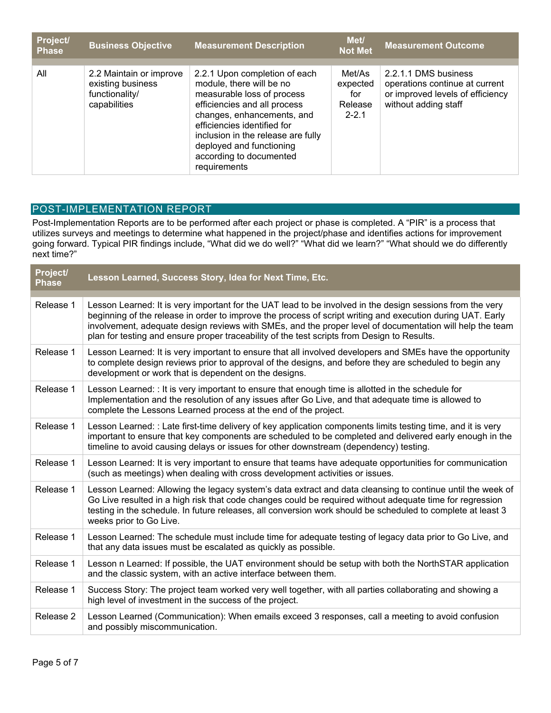| <b>Project/</b><br><b>Phase</b> | <b>Business Objective</b>                                                      | <b>Measurement Description</b>                                                                                                                                                                                                                                                                    | Met/<br><b>Not Met</b>                            | Measurement Outcome                                                                                                |
|---------------------------------|--------------------------------------------------------------------------------|---------------------------------------------------------------------------------------------------------------------------------------------------------------------------------------------------------------------------------------------------------------------------------------------------|---------------------------------------------------|--------------------------------------------------------------------------------------------------------------------|
| All                             | 2.2 Maintain or improve<br>existing business<br>functionality/<br>capabilities | 2.2.1 Upon completion of each<br>module, there will be no<br>measurable loss of process<br>efficiencies and all process<br>changes, enhancements, and<br>efficiencies identified for<br>inclusion in the release are fully<br>deployed and functioning<br>according to documented<br>requirements | Met/As<br>expected<br>for<br>Release<br>$2 - 2.1$ | 2.2.1.1 DMS business<br>operations continue at current<br>or improved levels of efficiency<br>without adding staff |

### POST-IMPLEMENTATION REPORT

Post-Implementation Reports are to be performed after each project or phase is completed. A "PIR" is a process that utilizes surveys and meetings to determine what happened in the project/phase and identifies actions for improvement going forward. Typical PIR findings include, "What did we do well?" "What did we learn?" "What should we do differently next time?"

| Project/<br><b>Phase</b> | Lesson Learned, Success Story, Idea for Next Time, Etc.                                                                                                                                                                                                                                                                                                                                                                            |
|--------------------------|------------------------------------------------------------------------------------------------------------------------------------------------------------------------------------------------------------------------------------------------------------------------------------------------------------------------------------------------------------------------------------------------------------------------------------|
| Release 1                | Lesson Learned: It is very important for the UAT lead to be involved in the design sessions from the very<br>beginning of the release in order to improve the process of script writing and execution during UAT. Early<br>involvement, adequate design reviews with SMEs, and the proper level of documentation will help the team<br>plan for testing and ensure proper traceability of the test scripts from Design to Results. |
| Release 1                | Lesson Learned: It is very important to ensure that all involved developers and SMEs have the opportunity<br>to complete design reviews prior to approval of the designs, and before they are scheduled to begin any<br>development or work that is dependent on the designs.                                                                                                                                                      |
| Release 1                | Lesson Learned: : It is very important to ensure that enough time is allotted in the schedule for<br>Implementation and the resolution of any issues after Go Live, and that adequate time is allowed to<br>complete the Lessons Learned process at the end of the project.                                                                                                                                                        |
| Release 1                | Lesson Learned: : Late first-time delivery of key application components limits testing time, and it is very<br>important to ensure that key components are scheduled to be completed and delivered early enough in the<br>timeline to avoid causing delays or issues for other downstream (dependency) testing.                                                                                                                   |
| Release 1                | Lesson Learned: It is very important to ensure that teams have adequate opportunities for communication<br>(such as meetings) when dealing with cross development activities or issues.                                                                                                                                                                                                                                            |
| Release 1                | Lesson Learned: Allowing the legacy system's data extract and data cleansing to continue until the week of<br>Go Live resulted in a high risk that code changes could be required without adequate time for regression<br>testing in the schedule. In future releases, all conversion work should be scheduled to complete at least 3<br>weeks prior to Go Live.                                                                   |
| Release 1                | Lesson Learned: The schedule must include time for adequate testing of legacy data prior to Go Live, and<br>that any data issues must be escalated as quickly as possible.                                                                                                                                                                                                                                                         |
| Release 1                | Lesson n Learned: If possible, the UAT environment should be setup with both the NorthSTAR application<br>and the classic system, with an active interface between them.                                                                                                                                                                                                                                                           |
| Release 1                | Success Story: The project team worked very well together, with all parties collaborating and showing a<br>high level of investment in the success of the project.                                                                                                                                                                                                                                                                 |
| Release 2                | Lesson Learned (Communication): When emails exceed 3 responses, call a meeting to avoid confusion<br>and possibly miscommunication.                                                                                                                                                                                                                                                                                                |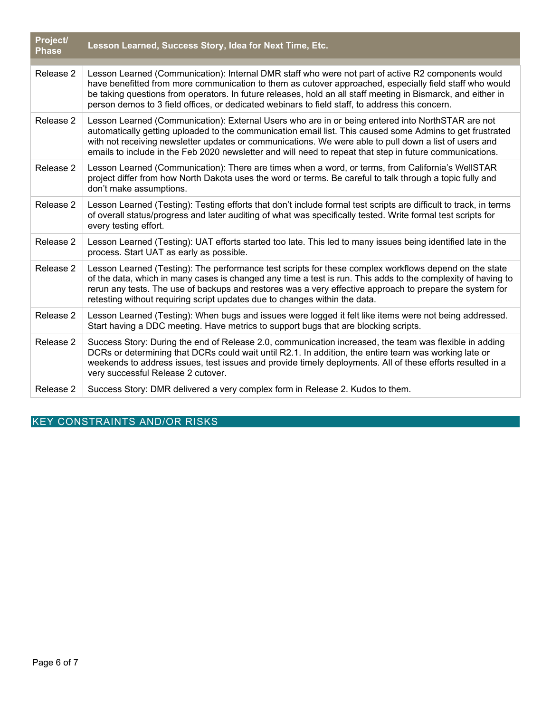| Project/<br><b>Phase</b> | Lesson Learned, Success Story, Idea for Next Time, Etc.                                                                                                                                                                                                                                                                                                                                                                              |
|--------------------------|--------------------------------------------------------------------------------------------------------------------------------------------------------------------------------------------------------------------------------------------------------------------------------------------------------------------------------------------------------------------------------------------------------------------------------------|
| Release 2                | Lesson Learned (Communication): Internal DMR staff who were not part of active R2 components would<br>have benefitted from more communication to them as cutover approached, especially field staff who would<br>be taking questions from operators. In future releases, hold an all staff meeting in Bismarck, and either in<br>person demos to 3 field offices, or dedicated webinars to field staff, to address this concern.     |
| Release 2                | Lesson Learned (Communication): External Users who are in or being entered into NorthSTAR are not<br>automatically getting uploaded to the communication email list. This caused some Admins to get frustrated<br>with not receiving newsletter updates or communications. We were able to pull down a list of users and<br>emails to include in the Feb 2020 newsletter and will need to repeat that step in future communications. |
| Release 2                | Lesson Learned (Communication): There are times when a word, or terms, from California's WellSTAR<br>project differ from how North Dakota uses the word or terms. Be careful to talk through a topic fully and<br>don't make assumptions.                                                                                                                                                                                            |
| Release 2                | Lesson Learned (Testing): Testing efforts that don't include formal test scripts are difficult to track, in terms<br>of overall status/progress and later auditing of what was specifically tested. Write formal test scripts for<br>every testing effort.                                                                                                                                                                           |
| Release 2                | Lesson Learned (Testing): UAT efforts started too late. This led to many issues being identified late in the<br>process. Start UAT as early as possible.                                                                                                                                                                                                                                                                             |
| Release 2                | Lesson Learned (Testing): The performance test scripts for these complex workflows depend on the state<br>of the data, which in many cases is changed any time a test is run. This adds to the complexity of having to<br>rerun any tests. The use of backups and restores was a very effective approach to prepare the system for<br>retesting without requiring script updates due to changes within the data.                     |
| Release 2                | Lesson Learned (Testing): When bugs and issues were logged it felt like items were not being addressed.<br>Start having a DDC meeting. Have metrics to support bugs that are blocking scripts.                                                                                                                                                                                                                                       |
| Release 2                | Success Story: During the end of Release 2.0, communication increased, the team was flexible in adding<br>DCRs or determining that DCRs could wait until R2.1. In addition, the entire team was working late or<br>weekends to address issues, test issues and provide timely deployments. All of these efforts resulted in a<br>very successful Release 2 cutover.                                                                  |
| Release 2                | Success Story: DMR delivered a very complex form in Release 2. Kudos to them.                                                                                                                                                                                                                                                                                                                                                        |

# KEY CONSTRAINTS AND/OR RISKS